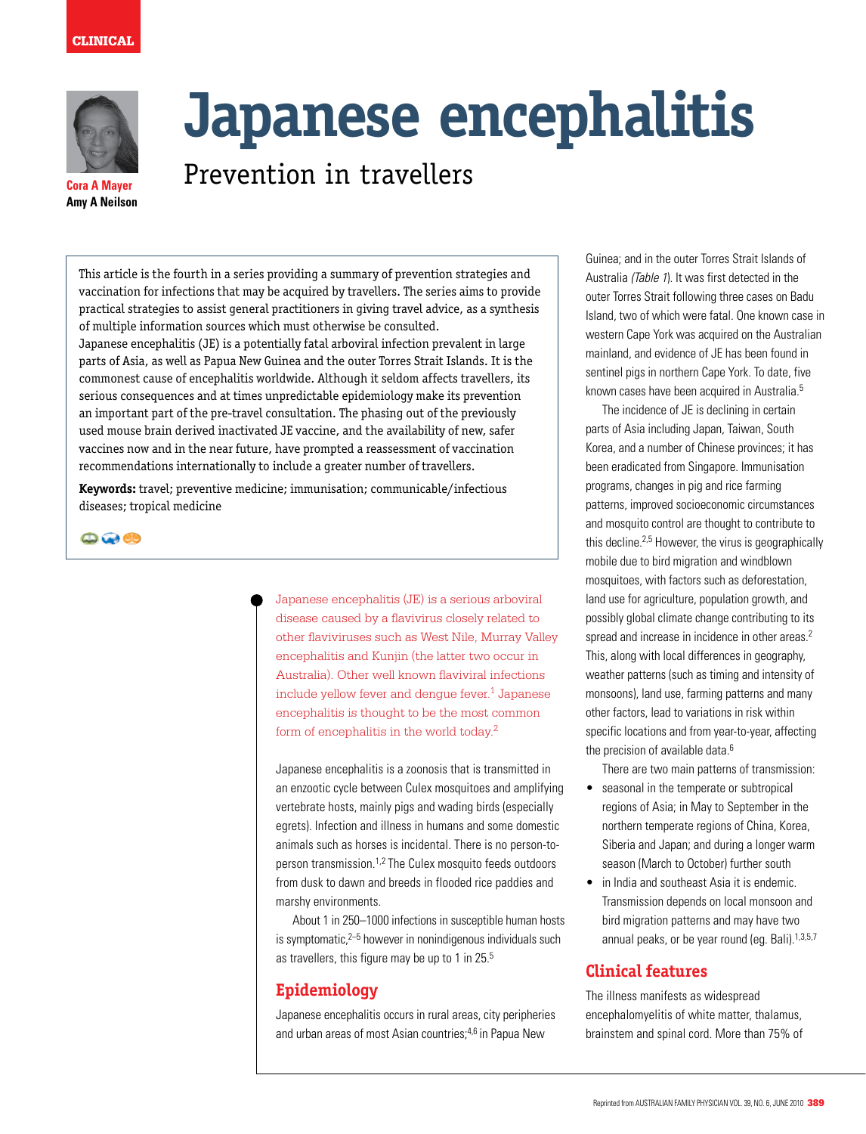



# **Japanese encephalitis**

# Prevention in travellers

**Cora A Mayer Amy A Neilson**

> This article is the fourth in a series providing a summary of prevention strategies and vaccination for infections that may be acquired by travellers. The series aims to provide practical strategies to assist general practitioners in giving travel advice, as a synthesis of multiple information sources which must otherwise be consulted.

Japanese encephalitis (JE) is a potentially fatal arboviral infection prevalent in large parts of Asia, as well as Papua New Guinea and the outer Torres Strait Islands. It is the commonest cause of encephalitis worldwide. Although it seldom affects travellers, its serious consequences and at times unpredictable epidemiology make its prevention an important part of the pre-travel consultation. The phasing out of the previously used mouse brain derived inactivated JE vaccine, and the availability of new, safer vaccines now and in the near future, have prompted a reassessment of vaccination recommendations internationally to include a greater number of travellers.

**Keywords:** travel; preventive medicine; immunisation; communicable/infectious diseases; tropical medicine

 $\bigcirc$   $\bigcirc$   $\bigcirc$ 

Japanese encephalitis (JE) is a serious arboviral disease caused by a flavivirus closely related to other flaviviruses such as West Nile, Murray Valley encephalitis and Kunjin (the latter two occur in Australia). Other well known flaviviral infections include yellow fever and dengue fever.<sup>1</sup> Japanese encephalitis is thought to be the most common form of encephalitis in the world today.2

Japanese encephalitis is a zoonosis that is transmitted in an enzootic cycle between Culex mosquitoes and amplifying vertebrate hosts, mainly pigs and wading birds (especially egrets). Infection and illness in humans and some domestic animals such as horses is incidental. There is no person-toperson transmission.1,2 The Culex mosquito feeds outdoors from dusk to dawn and breeds in flooded rice paddies and marshy environments.

About 1 in 250–1000 infections in susceptible human hosts is symptomatic, $2-5$  however in nonindigenous individuals such as travellers, this figure may be up to 1 in 25.5

# **Epidemiology**

Japanese encephalitis occurs in rural areas, city peripheries and urban areas of most Asian countries;<sup>4,6</sup> in Papua New

Guinea; and in the outer Torres Strait Islands of Australia (Table 1). It was first detected in the outer Torres Strait following three cases on Badu Island, two of which were fatal. One known case in western Cape York was acquired on the Australian mainland, and evidence of JE has been found in sentinel pigs in northern Cape York. To date, five known cases have been acquired in Australia.5

 The incidence of JE is declining in certain parts of Asia including Japan, Taiwan, South Korea, and a number of Chinese provinces; it has been eradicated from Singapore. Immunisation programs, changes in pig and rice farming patterns, improved socioeconomic circumstances and mosquito control are thought to contribute to this decline.2,5 However, the virus is geographically mobile due to bird migration and windblown mosquitoes, with factors such as deforestation, land use for agriculture, population growth, and possibly global climate change contributing to its spread and increase in incidence in other areas.<sup>2</sup> This, along with local differences in geography, weather patterns (such as timing and intensity of monsoons), land use, farming patterns and many other factors, lead to variations in risk within specific locations and from year-to-year, affecting the precision of available data.<sup>6</sup>

There are two main patterns of transmission:

- seasonal in the temperate or subtropical regions of Asia; in May to September in the northern temperate regions of China, Korea, Siberia and Japan; and during a longer warm season (March to October) further south
- in India and southeast Asia it is endemic. Transmission depends on local monsoon and bird migration patterns and may have two annual peaks, or be year round (eg. Bali). $1,3,5,7$

# **Clinical features**

The illness manifests as widespread encephalomyelitis of white matter, thalamus, brainstem and spinal cord. More than 75% of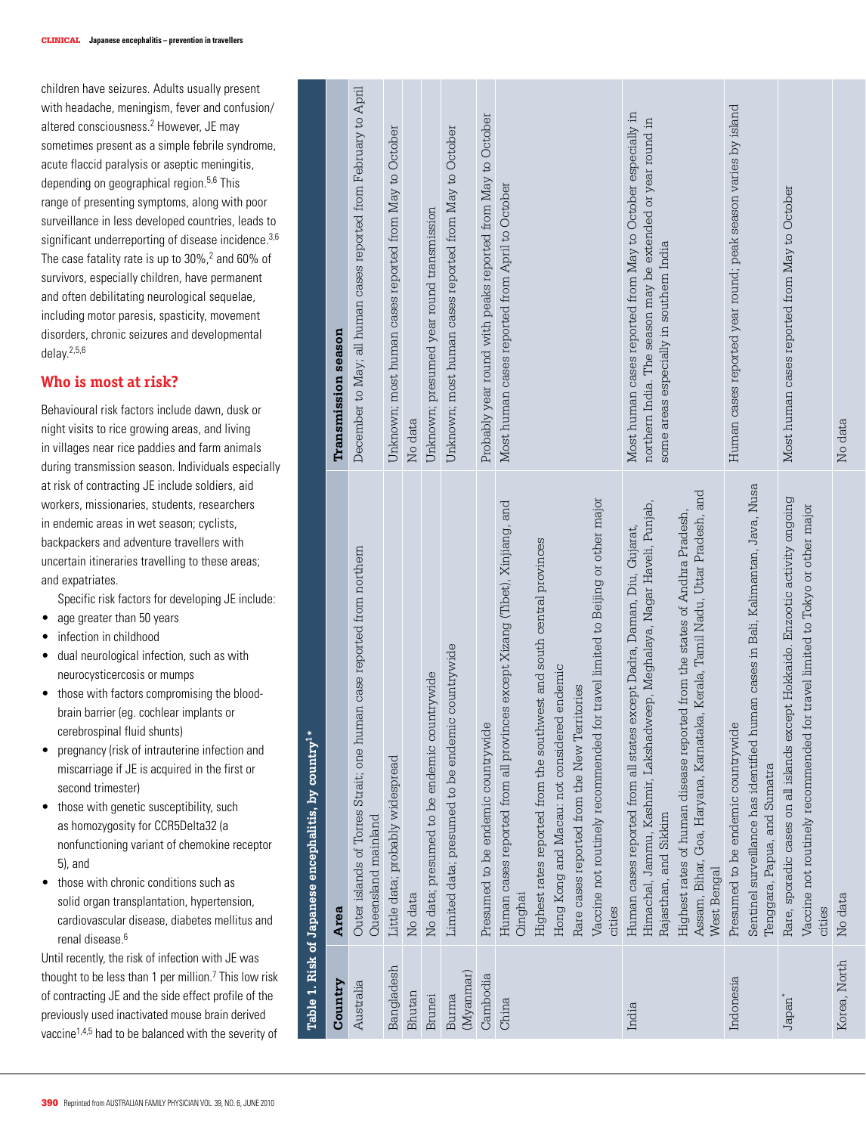children have seizures. Adults usually present with headache, meningism, fever and confusion/ altered consciousness. 2 However, JE may sometimes present as a simple febrile syndrome, acute flaccid paralysis or aseptic meningitis, depending on geographical region.5,6 This range of presenting symptoms, along with poor surveillance in less developed countries, leads to significant underreporting of disease incidence.<sup>3,6</sup> The case fatality rate is up to  $30\%$ , <sup>2</sup> and 60% of survivors, especially children, have permanent and often debilitating neurological sequelae, including motor paresis, spasticity, movement disorders, chronic seizures and developmental delay.2,5,6

#### **Who is most at risk?**

Behavioural risk factors include dawn, dusk or night visits to rice growing areas, and living in villages near rice paddies and farm animals during transmission season. Individuals especially at risk of contracting JE include soldiers, aid workers, missionaries, students, researchers in endemic areas in wet season; cyclists, backpackers and adventure travellers with uncertain itineraries travelling to these areas; and expatriates.

Specific risk factors for developing JE include:

- age greater than 50 years
- infection in childhood
- dual neurological infection, such as with neurocysticercosis or mumps
- those with factors compromising the bloodbrain barrier (eg. cochlear implants or cerebrospinal fluid shunts)
- pregnancy (risk of intrauterine infection and miscarriage if JE is acquired in the first or second trimester)
- those with genetic susceptibility, such as homozygosity for CCR5Delta32 (a nonfunctioning variant of chemokine receptor 5), and
- those with chronic conditions such as solid organ transplantation, hypertension, cardiovascular disease, diabetes mellitus and renal disease. 6

Until recently, the risk of infection with JE was thought to be less than 1 per million. 7 This low risk of contracting JE and the side effect profile of the previously used inactivated mouse brain derived vaccine1,4,5 had to be balanced with the severity of

|                    | Table 1. Risk of Japanese encephalitis, by country <sup>1</sup>                                                                                                             |                                                                                                                                                                       |
|--------------------|-----------------------------------------------------------------------------------------------------------------------------------------------------------------------------|-----------------------------------------------------------------------------------------------------------------------------------------------------------------------|
| Country            | Area                                                                                                                                                                        | Transmission season                                                                                                                                                   |
| Australia          | uman case reported from northern<br>Outer islands of Torres Strait; one h<br>Queensland mainland                                                                            | December to May, all human cases reported from February to April                                                                                                      |
| Bangladesh         | Little data; probably widespread                                                                                                                                            | Unknown; most human cases reported from May to October                                                                                                                |
| Bhutan             | No data                                                                                                                                                                     | No data                                                                                                                                                               |
| Brunei             | No data; presumed to be endemic countrywide                                                                                                                                 | Unknown; presumed year round transmission                                                                                                                             |
| (Myanmar)<br>Burma | Limited data; presumed to be endemic countrywide                                                                                                                            | Unknown; most human cases reported from May to October                                                                                                                |
| Cambodia           | Presumed to be endemic countrywide                                                                                                                                          | Probably year round with peaks reported from May to October                                                                                                           |
| China              | Human cases reported from all provinces except Xizang (Tibet), Xinjiang, and<br>Cinghai                                                                                     | Most human cases reported from April to October                                                                                                                       |
|                    | Highest rates reported from the southwest and south central provinces                                                                                                       |                                                                                                                                                                       |
|                    | Hong Kong and Macau: not considered endemic                                                                                                                                 |                                                                                                                                                                       |
|                    | Rare cases reported from the New Territories                                                                                                                                |                                                                                                                                                                       |
|                    | Vaccine not routinely recommended for travel limited to Beijing or other major<br>cities                                                                                    |                                                                                                                                                                       |
| India              | Himachal, Jammu, Kashmir, Lakshadweep, Meghalaya, Nagar Haveli, Punjab,<br>Human cases reported from all states except Dadra, Daman, Diu, Gujarat,<br>Rajasthan, and Sikkim | Most human cases reported from May to October especially in<br>northern India. The season may be extended or year round in<br>some areas especially in southern India |
|                    | Assam, Bihar, Goa, Haryana, Karnataka, Kerala, Tamil Nadu, Uttar Pradesh, and<br>Highest rates of human disease reported from the states of Andhra Pradesh,<br>West Bengal  |                                                                                                                                                                       |
| Indonesia          | Presumed to be endemic countrywide                                                                                                                                          | Human cases reported year round; peak season varies by island                                                                                                         |
|                    | human cases in Bali, Kalimantan, Java, Nusa<br>Sentinel surveillance has identified<br>Tenggara, Papua, and Sumatra                                                         |                                                                                                                                                                       |
| Japan              | Rare, sporadic cases on all islands except Hokkaido. Enzootic activity ongoing                                                                                              | Most human cases reported from May to October                                                                                                                         |
|                    | Vaccine not routinely recommended for travel limited to Tokyo or other major<br>cities                                                                                      |                                                                                                                                                                       |
| Korea, North       | No data                                                                                                                                                                     | No data                                                                                                                                                               |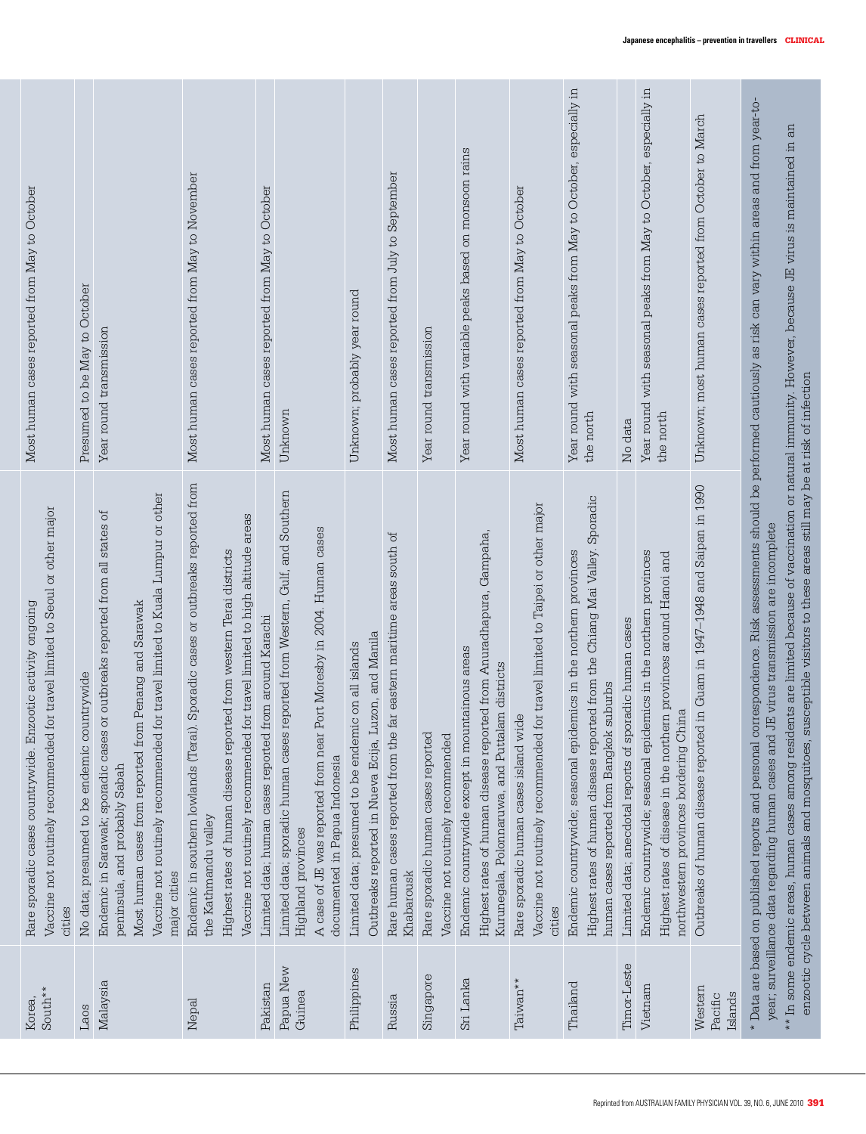| South**<br>Korea,             | Vaccine not routinely recommended for travel limited to Seoul or other major<br>Rare sporadic cases countrywide. Enzootic activity ongoing<br>cities                                                                                                                                                                                                                                                                                                                                                                                                                       | Most human cases reported from May to October                                  |
|-------------------------------|----------------------------------------------------------------------------------------------------------------------------------------------------------------------------------------------------------------------------------------------------------------------------------------------------------------------------------------------------------------------------------------------------------------------------------------------------------------------------------------------------------------------------------------------------------------------------|--------------------------------------------------------------------------------|
| Laos                          | No data; presumed to be endemic countrywide                                                                                                                                                                                                                                                                                                                                                                                                                                                                                                                                | Presumed to be May to October                                                  |
| Malaysia                      | Vaccine not routinely recommended for travel limited to Kuala Lumpur or other<br>Endemic in Sarawak; sporadic cases or outbreaks reported from all states of<br>Most human cases from reported from Penang and Sarawak<br>peninsula, and probably Sabah<br>major cities                                                                                                                                                                                                                                                                                                    | Year round transmission                                                        |
| Nepal                         | Endemic in southern lowlands (Terai). Sporadic cases or outbreaks reported from<br>Vaccine not routinely recommended for travel limited to high altitude areas<br>Highest rates of human disease reported from western Terai districts<br>the Kathmandu valley                                                                                                                                                                                                                                                                                                             | Most human cases reported from May to November                                 |
| Pakistan                      | Limited data; human cases reported from around Karachi                                                                                                                                                                                                                                                                                                                                                                                                                                                                                                                     | Most human cases reported from May to October                                  |
| Papua New<br>Guinea           | Limited data; sporadic human cases reported from Western, Gulf, and Southern<br>A case of JE was reported from near Port Moresby in 2004. Human cases<br>documented in Papua Indonesia<br>Highland provinces                                                                                                                                                                                                                                                                                                                                                               | Unknown                                                                        |
| Philippines                   | Luzon, and Manila<br>Limited data; presumed to be endemic on all islands<br>Outbreaks reported in Nueva Ecija,                                                                                                                                                                                                                                                                                                                                                                                                                                                             | Unknown; probably year round                                                   |
| Russia                        | Rare human cases reported from the far eastern maritime areas south of<br>Khabarousk                                                                                                                                                                                                                                                                                                                                                                                                                                                                                       | Most human cases reported from July to September                               |
| Singapore                     | Rare sporadic human cases reported<br>Vaccine not routinely recommended                                                                                                                                                                                                                                                                                                                                                                                                                                                                                                    | Year round transmission                                                        |
| Sri Lanka                     | Anuradhapura, Gampaha,<br>Endemic countrywide except in mountainous areas<br>Kurunegala, Polonnaruwa, and Puttalam districts<br>Highest rates of human disease reported from                                                                                                                                                                                                                                                                                                                                                                                               | Year round with variable peaks based on monsoon rains                          |
| Taiwan**                      | Vaccine not routinely recommended for travel limited to Taipei or other major<br>Rare sporadic human cases island wide<br>cities                                                                                                                                                                                                                                                                                                                                                                                                                                           | Most human cases reported from May to October                                  |
| Thailand                      | Highest rates of human disease reported from the Chiang Mai Valley. Sporadic<br>Endemic countrywide; seasonal epidemics in the northern provinces<br>human cases reported from Bangkok suburbs                                                                                                                                                                                                                                                                                                                                                                             | Year round with seasonal peaks from May to October, especially in<br>the north |
| Timor-Leste                   | Limited data; anecdotal reports of sporadic human cases                                                                                                                                                                                                                                                                                                                                                                                                                                                                                                                    | No data                                                                        |
| Vietnam                       | Endemic countrywide; seasonal epidemics in the northern provinces<br>Highest rates of disease in the northern provinces around Hanoi and<br>northwestern provinces bordering China                                                                                                                                                                                                                                                                                                                                                                                         | Year round with seasonal peaks from May to October, especially in<br>the north |
| Western<br>Islands<br>Pacific | Outbreaks of human disease reported in Guam in 1947-1948 and Saipan in 1990                                                                                                                                                                                                                                                                                                                                                                                                                                                                                                | Unknown; most human cases reported from October to March                       |
|                               | $^\star$ Data are based on published reports and personal correspondence. Risk assessments should be performed cautiously as risk can vary within areas and from year-to-<br>$^{**}$ In some endemic areas, human cases among residents are limited because of vaccination or natural immunity. However, because JE virus is maintained in an $\,$<br>susceptible visitors to these areas still may be at risk of infection<br>JE virus transmission are incomplete<br>year; surveillance data regarding human cases and<br>enzootic cycle between animals and mosquitoes, |                                                                                |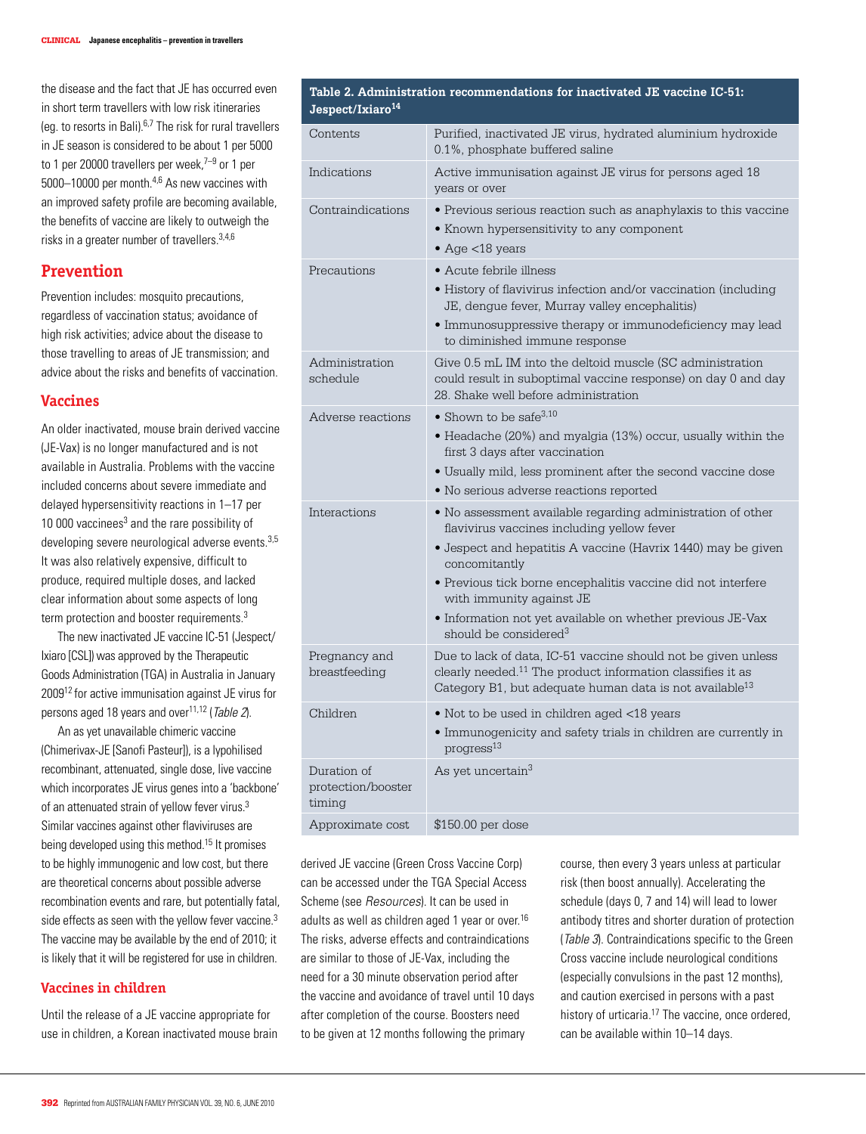the disease and the fact that JE has occurred even in short term travellers with low risk itineraries (eq. to resorts in Bali). $6,7$  The risk for rural travellers in JE season is considered to be about 1 per 5000 to 1 per 20000 travellers per week. $7-9$  or 1 per 5000–10000 per month.4,6 As new vaccines with an improved safety profile are becoming available, the benefits of vaccine are likely to outweigh the risks in a greater number of travellers.3,4,6

### **Prevention**

Prevention includes: mosquito precautions, regardless of vaccination status; avoidance of high risk activities; advice about the disease to those travelling to areas of JE transmission; and advice about the risks and benefits of vaccination.

#### **Vaccines**

An older inactivated, mouse brain derived vaccine (JE-Vax) is no longer manufactured and is not available in Australia. Problems with the vaccine included concerns about severe immediate and delayed hypersensitivity reactions in 1–17 per 10 000 vaccinees $3$  and the rare possibility of developing severe neurological adverse events.<sup>3,5</sup> It was also relatively expensive, difficult to produce, required multiple doses, and lacked clear information about some aspects of long term protection and booster requirements.<sup>3</sup>

 The new inactivated JE vaccine IC-51 (Jespect/ Ixiaro [CSL]) was approved by the Therapeutic Goods Administration (TGA) in Australia in January 200912 for active immunisation against JE virus for persons aged 18 years and over $11,12$  (Table 2).

An as yet unavailable chimeric vaccine (Chimerivax-JE [Sanofi Pasteur]), is a lypohilised recombinant, attenuated, single dose, live vaccine which incorporates JE virus genes into a 'backbone' of an attenuated strain of yellow fever virus.<sup>3</sup> Similar vaccines against other flaviviruses are being developed using this method.15 It promises to be highly immunogenic and low cost, but there are theoretical concerns about possible adverse recombination events and rare, but potentially fatal, side effects as seen with the yellow fever vaccine.<sup>3</sup> The vaccine may be available by the end of 2010; it is likely that it will be registered for use in children.

#### **Vaccines in children**

Until the release of a JE vaccine appropriate for use in children, a Korean inactivated mouse brain

# **Table 2. Administration recommendations for inactivated JE vaccine IC-51:**

| Jespect/Ixiaro <sup>14</sup>                |                                                                                                                                                                                                                                                                                                                                                                                                   |
|---------------------------------------------|---------------------------------------------------------------------------------------------------------------------------------------------------------------------------------------------------------------------------------------------------------------------------------------------------------------------------------------------------------------------------------------------------|
| Contents                                    | Purified, inactivated JE virus, hydrated aluminium hydroxide<br>0.1%, phosphate buffered saline                                                                                                                                                                                                                                                                                                   |
| Indications                                 | Active immunisation against JE virus for persons aged 18<br>vears or over                                                                                                                                                                                                                                                                                                                         |
| Contraindications                           | • Previous serious reaction such as anaphylaxis to this vaccine<br>• Known hypersensitivity to any component<br>• Age $<$ 18 years                                                                                                                                                                                                                                                                |
| Precautions                                 | • Acute febrile illness<br>· History of flavivirus infection and/or vaccination (including<br>JE, dengue fever, Murray valley encephalitis)<br>• Immunosuppressive therapy or immunodeficiency may lead<br>to diminished immune response                                                                                                                                                          |
| Administration<br>schedule                  | Give 0.5 mL IM into the deltoid muscle (SC administration<br>could result in suboptimal vaccine response) on day 0 and day<br>28. Shake well before administration                                                                                                                                                                                                                                |
| Adverse reactions                           | $\bullet$ Shown to be safe <sup>3,10</sup><br>• Headache (20%) and myalgia (13%) occur, usually within the<br>first 3 days after vaccination<br>· Usually mild, less prominent after the second vaccine dose<br>• No serious adverse reactions reported                                                                                                                                           |
| Interactions                                | • No assessment available regarding administration of other<br>flavivirus vaccines including yellow fever<br>$\bullet$ Jespect and hepatitis A vaccine (Havrix 1440) may be given<br>concomitantly<br>• Previous tick borne encephalitis vaccine did not interfere<br>with immunity against JE<br>• Information not yet available on whether previous JE-Vax<br>should be considered <sup>3</sup> |
| Pregnancy and<br>breastfeeding              | Due to lack of data, IC-51 vaccine should not be given unless<br>clearly needed. <sup>11</sup> The product information classifies it as<br>Category B1, but adequate human data is not available <sup>13</sup>                                                                                                                                                                                    |
| Children                                    | • Not to be used in children aged <18 years<br>• Immunogenicity and safety trials in children are currently in<br>progress <sup>13</sup>                                                                                                                                                                                                                                                          |
| Duration of<br>protection/booster<br>timing | As yet uncertain <sup>3</sup>                                                                                                                                                                                                                                                                                                                                                                     |
| Approximate cost                            | \$150.00 per dose                                                                                                                                                                                                                                                                                                                                                                                 |

derived JE vaccine (Green Cross Vaccine Corp) can be accessed under the TGA Special Access Scheme (see *Resources*). It can be used in adults as well as children aged 1 year or over.<sup>16</sup> The risks, adverse effects and contraindications are similar to those of JE-Vax, including the need for a 30 minute observation period after the vaccine and avoidance of travel until 10 days after completion of the course. Boosters need to be given at 12 months following the primary

course, then every 3 years unless at particular risk (then boost annually). Accelerating the schedule (days 0, 7 and 14) will lead to lower antibody titres and shorter duration of protection (Table 3). Contraindications specific to the Green Cross vaccine include neurological conditions (especially convulsions in the past 12 months), and caution exercised in persons with a past history of urticaria.<sup>17</sup> The vaccine, once ordered, can be available within 10–14 days.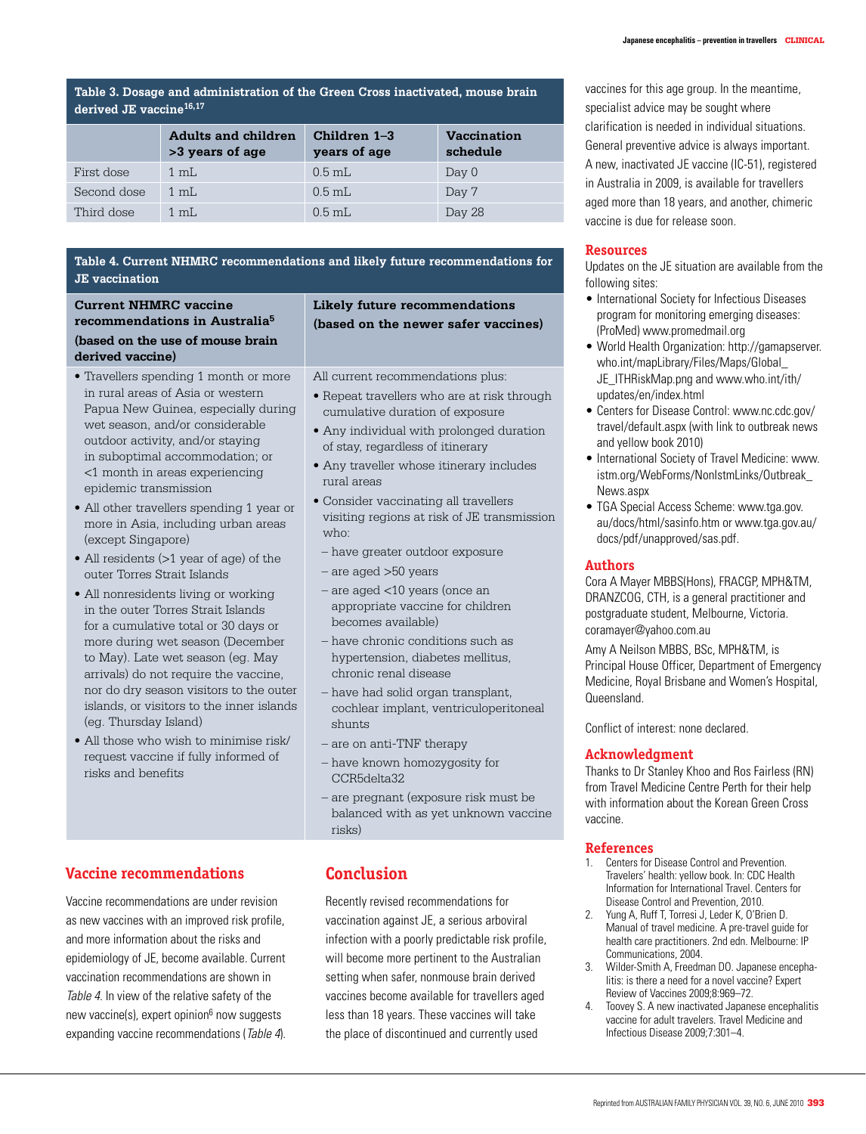**Table 3. Dosage and administration of the Green Cross inactivated, mouse brain derived JE vaccine16,17**

|             | <b>Adults and children</b><br>>3 years of age | Children 1–3<br>years of age | <b>Vaccination</b><br>schedule |
|-------------|-----------------------------------------------|------------------------------|--------------------------------|
| First dose  | $1 \text{ mL}$                                | $0.5$ mL                     | Day 0                          |
| Second dose | $1 \text{ mL}$                                | $0.5$ mL                     | Day 7                          |
| Third dose  | $1 \text{ m}$ .                               | $0.5$ mL                     | Day 28                         |

#### **Table 4. Current NHMRC recommendations and likely future recommendations for JE vaccination**

#### **Current NHMRC vaccine recommendations in Australia5 (based on the use of mouse brain derived vaccine)**

- Travellers spending 1 month or more in rural areas of Asia or western Papua New Guinea, especially during wet season, and/or considerable outdoor activity, and/or staying in suboptimal accommodation; or <1 month in areas experiencing epidemic transmission
- All other travellers spending 1 year or more in Asia, including urban areas (except Singapore)
- All residents (>1 year of age) of the outer Torres Strait Islands
- All nonresidents living or working in the outer Torres Strait Islands for a cumulative total or 30 days or more during wet season (December to May). Late wet season (eg. May arrivals) do not require the vaccine, nor do dry season visitors to the outer islands, or visitors to the inner islands (eg. Thursday Island)
- All those who wish to minimise risk/ request vaccine if fully informed of risks and benefits

#### **Likely future recommendations (based on the newer safer vaccines)**

All current recommendations plus:

- Repeat travellers who are at risk through cumulative duration of exposure
- Any individual with prolonged duration of stay, regardless of itinerary
- Any traveller whose itinerary includes rural areas
- Consider vaccinating all travellers visiting regions at risk of JE transmission who:
	- have greater outdoor exposure
	- are aged >50 years
	- are aged <10 years (once an appropriate vaccine for children becomes available)
	- have chronic conditions such as hypertension, diabetes mellitus, chronic renal disease
	- have had solid organ transplant, cochlear implant, ventriculoperitoneal shunts
	- are on anti-TNF therapy
	- have known homozygosity for CCR5delta32
- are pregnant (exposure risk must be balanced with as yet unknown vaccine risks)

## **Vaccine recommendations**

Vaccine recommendations are under revision as new vaccines with an improved risk profile, and more information about the risks and epidemiology of JE, become available. Current vaccination recommendations are shown in Table 4. In view of the relative safety of the new vaccine(s), expert opinion<sup>6</sup> now suggests expanding vaccine recommendations (Table 4).

## **Conclusion**

Recently revised recommendations for vaccination against JE, a serious arboviral infection with a poorly predictable risk profile, will become more pertinent to the Australian setting when safer, nonmouse brain derived vaccines become available for travellers aged less than 18 years. These vaccines will take the place of discontinued and currently used

vaccines for this age group. In the meantime, specialist advice may be sought where clarification is needed in individual situations. General preventive advice is always important. A new, inactivated JE vaccine (IC-51), registered in Australia in 2009, is available for travellers aged more than 18 years, and another, chimeric vaccine is due for release soon.

#### **Resources**

Updates on the JE situation are available from the following sites:

- International Society for Infectious Diseases program for monitoring emerging diseases: (ProMed) www.promedmail.org
- • World Health Organization: http://gamapserver. who.int/mapLibrary/Files/Maps/Global\_ JE\_ITHRiskMap.png and www.who.int/ith/ updates/en/index.html
- Centers for Disease Control: www.nc.cdc.gov/ travel/default.aspx (with link to outbreak news and yellow book 2010)
- International Society of Travel Medicine: www. istm.org/WebForms/NonIstmLinks/Outbreak\_ News.aspx
- TGA Special Access Scheme: www.tga.gov. au/docs/html/sasinfo.htm or www.tga.gov.au/ docs/pdf/unapproved/sas.pdf.

#### **Authors**

Cora A Mayer MBBS(Hons), FRACGP, MPH&TM, DRANZCOG, CTH, is a general practitioner and postgraduate student, Melbourne, Victoria. coramayer@yahoo.com.au

Amy A Neilson MBBS, BSc, MPH&TM, is Principal House Officer, Department of Emergency Medicine, Royal Brisbane and Women's Hospital, Queensland.

Conflict of interest: none declared.

#### **Acknowledgment**

Thanks to Dr Stanley Khoo and Ros Fairless (RN) from Travel Medicine Centre Perth for their help with information about the Korean Green Cross vaccine.

#### **References**

- 1. Centers for Disease Control and Prevention. Travelers' health: yellow book. In: CDC Health Information for International Travel. Centers for Disease Control and Prevention, 2010.
- Yung A, Ruff T, Torresi J, Leder K, O'Brien D. Manual of travel medicine. A pre-travel guide for health care practitioners. 2nd edn. Melbourne: IP Communications, 2004.
- 3. Wilder-Smith A, Freedman DO. Japanese encephalitis: is there a need for a novel vaccine? Expert Review of Vaccines 2009;8:969–72.
- 4. Toovey S. A new inactivated Japanese encephalitis vaccine for adult travelers. Travel Medicine and Infectious Disease 2009;7:301–4.